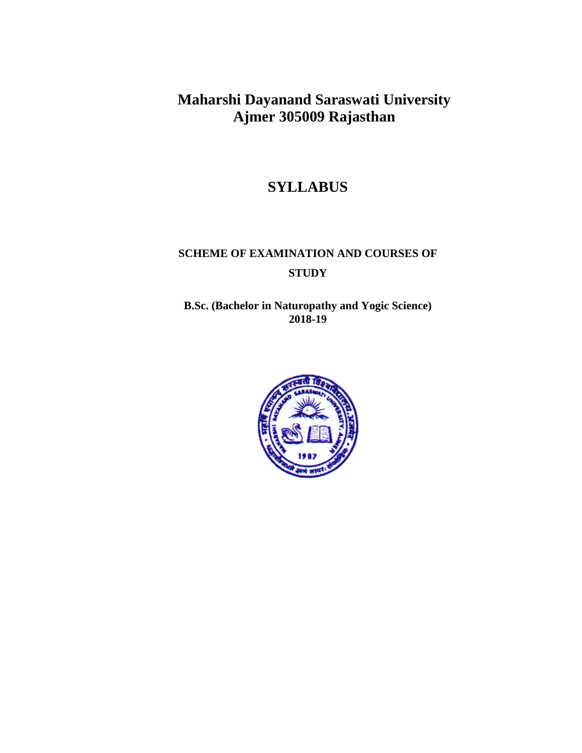# **Maharshi Dayanand Saraswati University Ajmer 305009 Rajasthan**

# **SYLLABUS**

# **SCHEME OF EXAMINATION AND COURSES OF STUDY**

**B.Sc. (Bachelor in Naturopathy and Yogic Science) 2018-19**

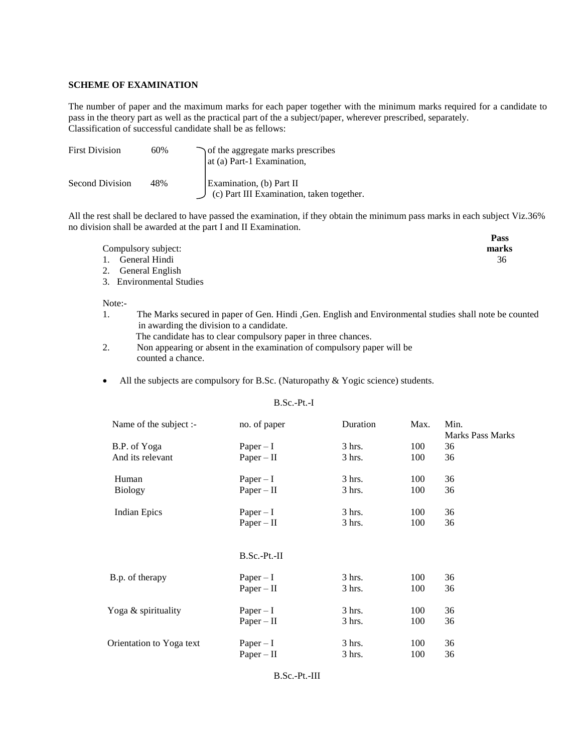#### **SCHEME OF EXAMINATION**

The number of paper and the maximum marks for each paper together with the minimum marks required for a candidate to pass in the theory part as well as the practical part of the a subject/paper, wherever prescribed, separately. Classification of successful candidate shall be as fellows:

| <b>First Division</b> | 60% | of the aggregate marks prescribes<br>at (a) Part-1 Examination,              |
|-----------------------|-----|------------------------------------------------------------------------------|
| Second Division       | 48% | Examination, (b) Part II<br>$\int$ (c) Part III Examination, taken together. |

All the rest shall be declared to have passed the examination, if they obtain the minimum pass marks in each subject Viz.36% no division shall be awarded at the part I and II Examination.

|                     | Pass  |
|---------------------|-------|
| Compulsory subject: | marks |
| 1. General Hindi    | 36    |
| 2. General English  |       |

3. Environmental Studies

Note:-

- 1. The Marks secured in paper of Gen. Hindi ,Gen. English and Environmental studies shall note be counted in awarding the division to a candidate.
	- The candidate has to clear compulsory paper in three chances.
- 2. Non appearing or absent in the examination of compulsory paper will be counted a chance.
- All the subjects are compulsory for B.Sc. (Naturopathy  $& \text{Yogic science}$ ) students.

#### B.Sc.-Pt.-I

| Name of the subject :-   | no. of paper   | Duration         | Max. | Min.                    |
|--------------------------|----------------|------------------|------|-------------------------|
|                          |                |                  |      | <b>Marks Pass Marks</b> |
| B.P. of Yoga             | Paper $-I$     | $3 \text{ hrs.}$ | 100  | 36                      |
| And its relevant         | $Paper - II$   | $3$ hrs.         | 100  | 36                      |
| Human                    | $Paper - I$    | $3$ hrs.         | 100  | 36                      |
| <b>Biology</b>           | $Paper - II$   | $3$ hrs.         | 100  | 36                      |
| <b>Indian Epics</b>      | $Paper - I$    | $3$ hrs.         | 100  | 36                      |
|                          | $Paper - II$   | $3$ hrs.         | 100  | 36                      |
|                          |                |                  |      |                         |
|                          | $B.Sc.-Pt.-II$ |                  |      |                         |
| B.p. of therapy          | $Paper - I$    | $3$ hrs.         | 100  | 36                      |
|                          | $Paper - II$   | $3$ hrs.         | 100  | 36                      |
| Yoga & spirituality      | $Paper - I$    | $3$ hrs.         | 100  | 36                      |
|                          | $Paper - II$   | $3$ hrs.         | 100  | 36                      |
| Orientation to Yoga text | $Paper - I$    | $3$ hrs.         | 100  | 36                      |
|                          | $Paper - II$   | 3 hrs.           | 100  | 36                      |
|                          |                |                  |      |                         |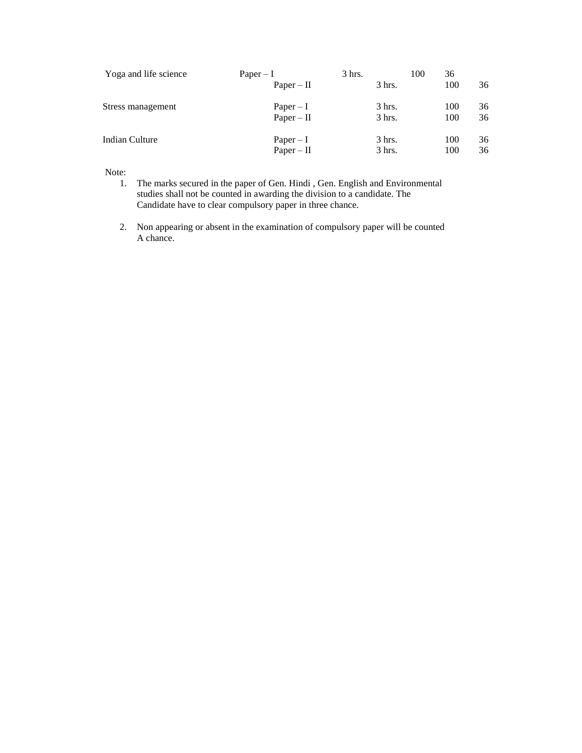| Yoga and life science | $Paper - I$  | 3 hrs.   | 36<br>100 |    |
|-----------------------|--------------|----------|-----------|----|
|                       | $Paper - II$ | $3$ hrs. | 100       | 36 |
| Stress management     | Paper $-I$   | $3$ hrs. | 100       | 36 |
|                       | $Paper - II$ | $3$ hrs. | 100       | 36 |
| Indian Culture        | $Paper - I$  | $3$ hrs. | 100       | 36 |
|                       | $Paper - II$ | $3$ hrs. | 100       | 36 |

# Note:

- 1. The marks secured in the paper of Gen. Hindi , Gen. English and Environmental studies shall not be counted in awarding the division to a candidate. The Candidate have to clear compulsory paper in three chance.
- 2. Non appearing or absent in the examination of compulsory paper will be counted A chance.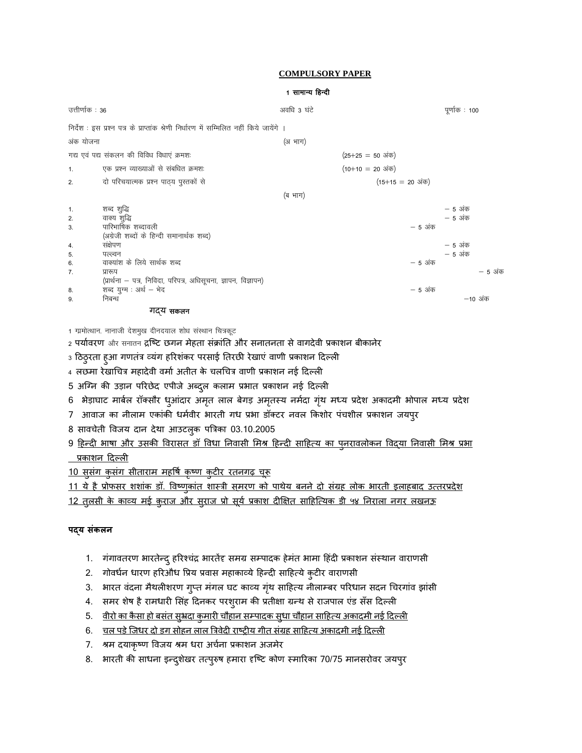- 8. भारती की साधना इन्दुशेखर तत्पुरुष हमारा दृष्टि कोण स्मारिका 70/75 मानसरोवर जयपुर
- 7. श्रम दयाकृष्ण विजय श्रम धरा अर्चना प्रकाशन अजमेर
- 6. व्यत पडे जिधर दो डग सोहन लाल त्रिवेदी राष्ट्रीय गीत संग्रह साहित्य अकादमी नई दिल्ली
- 5. वीरो का कैसा हो बसंत सुभ्रदा कुमारी चौहान सम्पादक सुधा चौहान साहित्य अकादमी नई दिल्ली
- 4. समर शेष है रामधारी सिंह दिनकर परशुराम की प्रतीक्षा ग्रन्थ से राजपाल एंड सँस दिल्ली
- 3. भारत वंदना मैथलीशरण गुप्त मंगल घट काव्य गृंथ साहित्य नीलाम्बर परिधान सदन चिरगांव झांसी
- 2. गोवर्धन धारण हरिऔध प्रिय प्रवास महाकाव्ये हिन्दी साहित्ये कुटीर वाराणसी
- 1. गंगावतरण भारतेन्दु हरिश्चंद्र भारतेंद्द समग्र सम्पादक हेमंत भामा हिंदी प्रकाशन संस्थान वाराणसी

# **पद्य संकलन**

<u>12 तुलसी के काव्य मई कुराज और सुराज प्रो सूर्य प्रकाश दीक्षित साहित्यिक डी ५४ निराला नगर लखनऊ</u>

<u>11 ये है प्रोफसर शशांक डॉ. विष्णुकांत शास्त्री समरण को पाथेय बनने दो संग्रह लोक भारती इलाहबाद उत्तरप्रदेश</u>

<u>10 सुसंग कुसंग सीताराम महर्षि कृष्ण कुटीर रतनगढ़ चूरू</u>

प्रकयशन ठदल्री

9 <u>हिन्दी भाषा और उसकी विरासत डॉ विधा निवासी मिश्र हिन्दी साहित्य का पुनरावलोकन विद्या निवासी मिश्र प्रभा</u>

- 8 सावचेती विजय दान देथा आउटल्क पत्रिका 03.10.2005
- 7) आवाज का नीलाम एकांकी धर्मवीर भारती गध प्रभा डॉक्टर नवल किशोर पंचशील प्रकाशन जयपुर
- 6 भेड़ाघाट मार्बल रॉक्सौर धुआंदार अमृत लाल बेगड़ अमृतस्य नर्मदा गृंथ मध्य प्रदेश अकादमी भोपाल मध्य प्रदेश
- 5 अग्नि की उड़ान परिछेद एपीजे अब्दुल कलाम प्रभात प्रकाशन नई दिल्ली
- 4 लछमा रेखाचित्र महादेवी वर्मा अतीत के चलचित्र वाणी प्रकाशन नई दिल्ली
- 3 ठिठ्रता हुआ गणतंत्र व्यंग हरिशंकर परसाई तिरछी रेखाएं वाणी प्रकाशन दिल्ली
- 2 पर्यावरण और सनातन द्रष्टि छगन मेहता संक्रांति और सनातनता से वागदेवी प्रकाशन बीकानेर
- 1 ग्रमोत्थान. नानाजी देशमुख दीनदयाल शोध संस्थान चित्रकूट

|                 |                                                                                            | 1 सामान्य हिन्दी |                                  |          |               |
|-----------------|--------------------------------------------------------------------------------------------|------------------|----------------------------------|----------|---------------|
| उत्तीर्णाक : 36 |                                                                                            | अवधि 3 घंटे      |                                  |          | पूर्णाक : 100 |
|                 | निर्देश : इस प्रश्न पत्र के प्राप्तांक श्रेणी निर्धारण में सम्मिलित नहीं किये जायेंगे ।    |                  |                                  |          |               |
| अंक योजना       |                                                                                            | (अभाग)           |                                  |          |               |
|                 | गद्य एवं पद्य संकलन की विविध विधाएं क्रमश:                                                 |                  | $(25+25 = 50 \text{3} \text{m})$ |          |               |
| 1.              | एक प्रश्न व्याख्याओं से संबधित क्रमशः                                                      |                  | $(10+10 = 20 \text{ m})$         |          |               |
| 2.              | दो परिचयात्मक प्रश्न पाठ्य पुस्तकों से                                                     |                  | $(15+15 = 20 \text{3} \text{m})$ |          |               |
|                 |                                                                                            | (ब भाग)          |                                  |          |               |
| 1.              | शब्द शुद्धि                                                                                |                  |                                  |          | — 5 अंक       |
| 2.              | वाक्य शुद्धि                                                                               |                  |                                  |          | — 5 अंक       |
| 3.              | पारिभाषिक शब्दावली                                                                         |                  |                                  | $-5$ अंक |               |
|                 | (अंग्रेजी शब्दों के हिन्दी समानार्थक शब्द)                                                 |                  |                                  |          |               |
| 4.              | संक्षेपण                                                                                   |                  |                                  |          | — 5 अंक       |
| 5.              | पल्ल्वन                                                                                    |                  |                                  |          | — 5 अंक       |
| 6.              | वाक्यांश के लिये सार्थक शब्द                                                               |                  |                                  | $-5$ अंक |               |
| 7.              | प्रारूप                                                                                    |                  |                                  |          | – 5 अक        |
| 8.              | (प्रार्थना – पत्र, निविदा, परिपत्र, अधिसूचना, ज्ञापन, विज्ञापन)<br>शब्द युग्म : अर्थ - भेद |                  |                                  | $-5$ अंक |               |
| 9.              | निबन्ध                                                                                     |                  |                                  |          | —10 अंक       |
|                 |                                                                                            |                  |                                  |          |               |
|                 | गदय सकलन                                                                                   |                  |                                  |          |               |

#### **COMPULSORY PAPER**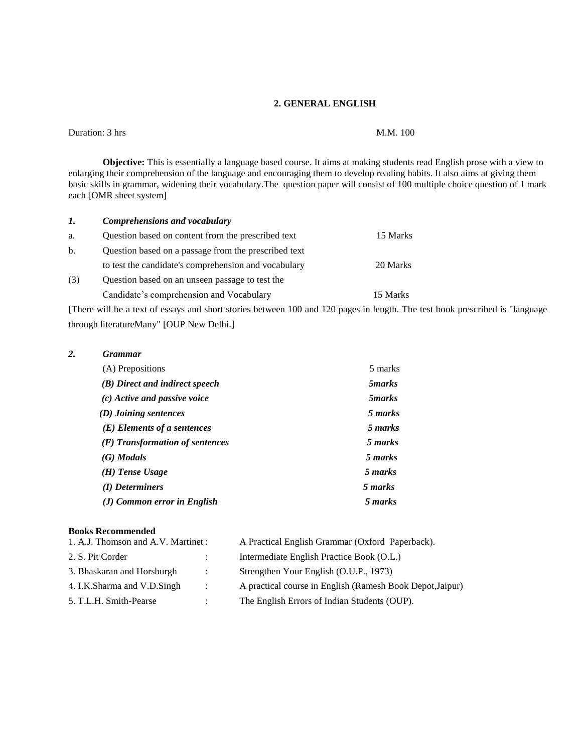#### **2. GENERAL ENGLISH**

Duration: 3 hrs M.M. 100

**Objective:** This is essentially a language based course. It aims at making students read English prose with a view to enlarging their comprehension of the language and encouraging them to develop reading habits. It also aims at giving them basic skills in grammar, widening their vocabulary.The question paper will consist of 100 multiple choice question of 1 mark each [OMR sheet system]

| 1.  | Comprehensions and vocabulary                        |          |
|-----|------------------------------------------------------|----------|
| a.  | Question based on content from the prescribed text   | 15 Marks |
| b.  | Question based on a passage from the prescribed text |          |
|     | to test the candidate's comprehension and vocabulary | 20 Marks |
| (3) | Question based on an unseen passage to test the      |          |
|     | Candidate's comprehension and Vocabulary             | 15 Marks |

[There will be a text of essays and short stories between 100 and 120 pages in length. The test book prescribed is "language through literatureMany" [OUP New Delhi.]

#### *2. Grammar*

| (A) Prepositions                  | 5 marks        |  |
|-----------------------------------|----------------|--|
| (B) Direct and indirect speech    | 5 <i>marks</i> |  |
| $(c)$ Active and passive voice    | 5 <i>marks</i> |  |
| (D) Joining sentences             | 5 marks        |  |
| $(E)$ Elements of a sentences     | 5 marks        |  |
| $(F)$ Transformation of sentences | 5 marks        |  |
| $(G)$ Modals                      | 5 marks        |  |
| $(H)$ Tense Usage                 | 5 marks        |  |
| (I) Determiners                   | 5 marks        |  |
| (J) Common error in English       | 5 marks        |  |

#### **Books Recommended**

| 1. A.J. Thomson and A.V. Martinet: |                | A Practical English Grammar (Oxford Paperback).           |
|------------------------------------|----------------|-----------------------------------------------------------|
| 2. S. Pit Corder                   |                | Intermediate English Practice Book (O.L.)                 |
| 3. Bhaskaran and Horsburgh         | $\mathbb{R}^2$ | Strengthen Your English (O.U.P., 1973)                    |
| 4. I.K.Sharma and V.D.Singh        | $\mathbb{R}^2$ | A practical course in English (Ramesh Book Depot, Jaipur) |
| 5. T.L.H. Smith-Pearse             | ÷              | The English Errors of Indian Students (OUP).              |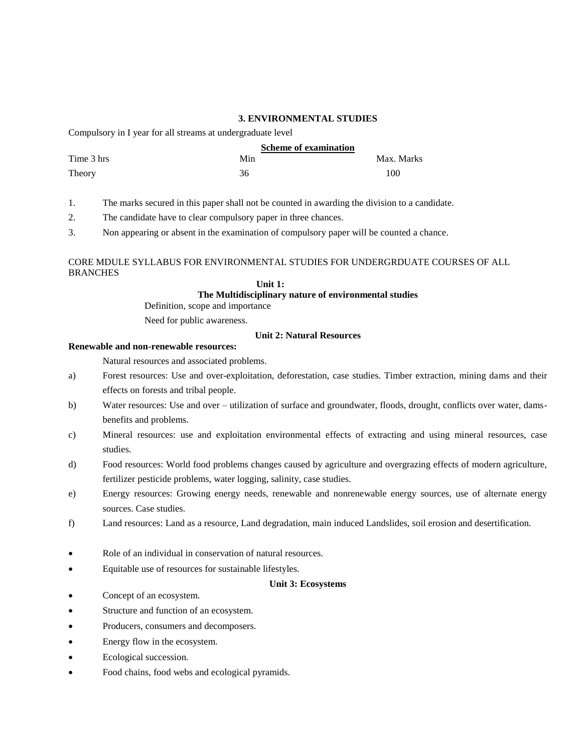## **3. ENVIRONMENTAL STUDIES**

Compulsory in I year for all streams at undergraduate level

|            | <b>Scheme of examination</b> |            |
|------------|------------------------------|------------|
| Time 3 hrs | Min                          | Max. Marks |
| Theory     | 36                           | 100        |

1. The marks secured in this paper shall not be counted in awarding the division to a candidate.

- 2. The candidate have to clear compulsory paper in three chances.
- 3. Non appearing or absent in the examination of compulsory paper will be counted a chance.

# CORE MDULE SYLLABUS FOR ENVIRONMENTAL STUDIES FOR UNDERGRDUATE COURSES OF ALL **BRANCHES**

#### **Unit 1: The Multidisciplinary nature of environmental studies**

Definition, scope and importance

Need for public awareness.

#### **Unit 2: Natural Resources**

#### **Renewable and non-renewable resources:**

Natural resources and associated problems.

- a) Forest resources: Use and over-exploitation, deforestation, case studies. Timber extraction, mining dams and their effects on forests and tribal people.
- b) Water resources: Use and over utilization of surface and groundwater, floods, drought, conflicts over water, damsbenefits and problems.
- c) Mineral resources: use and exploitation environmental effects of extracting and using mineral resources, case studies.
- d) Food resources: World food problems changes caused by agriculture and overgrazing effects of modern agriculture, fertilizer pesticide problems, water logging, salinity, case studies.
- e) Energy resources: Growing energy needs, renewable and nonrenewable energy sources, use of alternate energy sources. Case studies.
- f) Land resources: Land as a resource, Land degradation, main induced Landslides, soil erosion and desertification.
- Role of an individual in conservation of natural resources.
- Equitable use of resources for sustainable lifestyles.

#### **Unit 3: Ecosystems**

- Concept of an ecosystem.
- Structure and function of an ecosystem.
- Producers, consumers and decomposers.
- Energy flow in the ecosystem.
- Ecological succession.
- Food chains, food webs and ecological pyramids.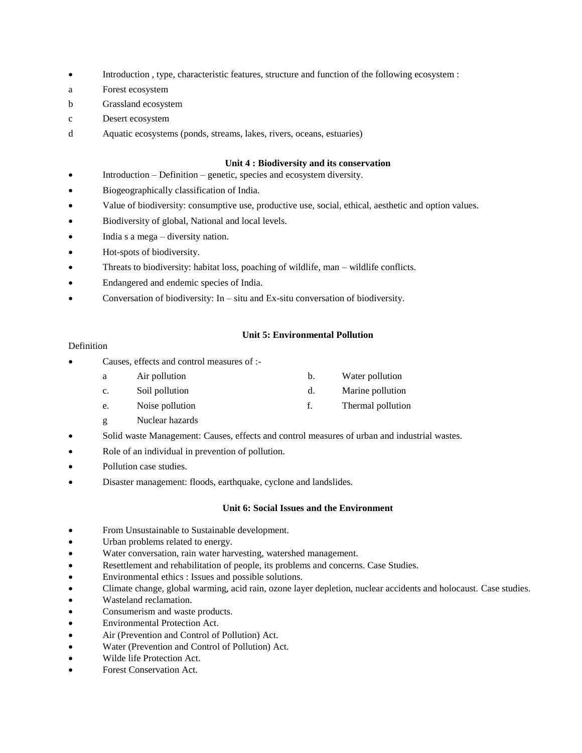- Introduction , type, characteristic features, structure and function of the following ecosystem :
- a Forest ecosystem
- b Grassland ecosystem
- c Desert ecosystem
- d Aquatic ecosystems (ponds, streams, lakes, rivers, oceans, estuaries)

#### **Unit 4 : Biodiversity and its conservation**

- Introduction Definition genetic, species and ecosystem diversity.
- Biogeographically classification of India.
- Value of biodiversity: consumptive use, productive use, social, ethical, aesthetic and option values.
- Biodiversity of global, National and local levels.
- India s a mega diversity nation.
- Hot-spots of biodiversity.
- Threats to biodiversity: habitat loss, poaching of wildlife, man wildlife conflicts.
- Endangered and endemic species of India.
- Conversation of biodiversity: In situ and Ex-situ conversation of biodiversity.

## **Unit 5: Environmental Pollution**

## Definition

- Causes, effects and control measures of :
	- a Air pollution b. Water pollution
	- c. Soil pollution d. Marine pollution
	- e. Noise pollution f. Thermal pollution
	- g Nuclear hazards
- Solid waste Management: Causes, effects and control measures of urban and industrial wastes.
- Role of an individual in prevention of pollution.
- Pollution case studies.
- Disaster management: floods, earthquake, cyclone and landslides.

# **Unit 6: Social Issues and the Environment**

- From Unsustainable to Sustainable development.
- Urban problems related to energy.
- Water conversation, rain water harvesting, watershed management.
- Resettlement and rehabilitation of people, its problems and concerns. Case Studies.
- Environmental ethics : Issues and possible solutions.
- Climate change, global warming, acid rain, ozone layer depletion, nuclear accidents and holocaust. Case studies.
- Wasteland reclamation.
- Consumerism and waste products.
- Environmental Protection Act.
- Air (Prevention and Control of Pollution) Act.
- Water (Prevention and Control of Pollution) Act.
- Wilde life Protection Act.
- Forest Conservation Act.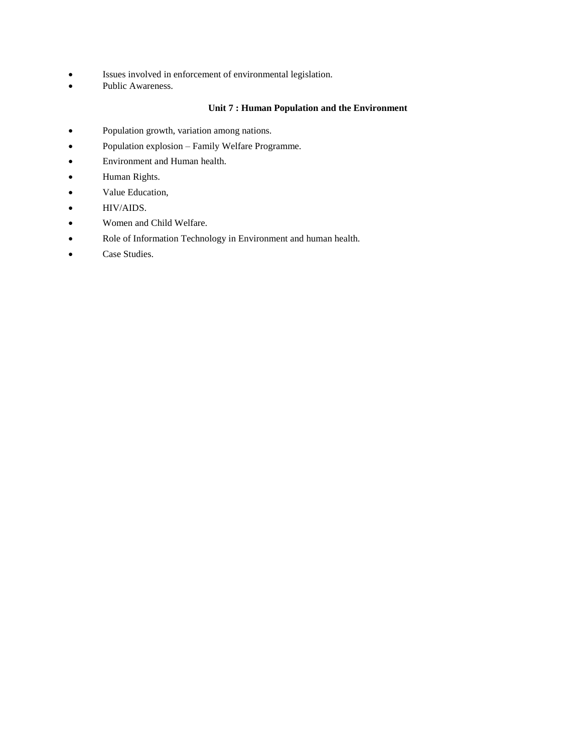- Issues involved in enforcement of environmental legislation.
- Public Awareness.

# **Unit 7 : Human Population and the Environment**

- Population growth, variation among nations.
- Population explosion Family Welfare Programme.
- Environment and Human health.
- Human Rights.
- Value Education,
- HIV/AIDS.
- Women and Child Welfare.
- Role of Information Technology in Environment and human health.
- Case Studies.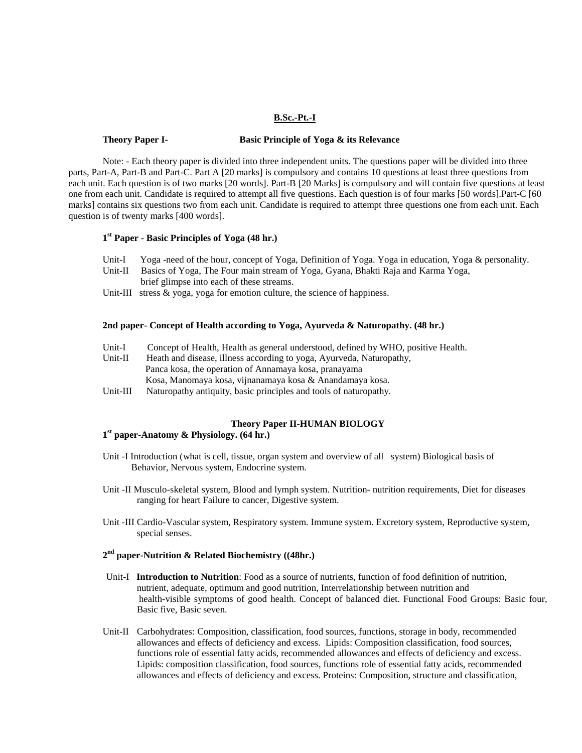#### **B.Sc.-Pt.-I**

#### **Theory Paper I- Basic Principle of Yoga & its Relevance**

Note: - Each theory paper is divided into three independent units. The questions paper will be divided into three parts, Part-A, Part-B and Part-C. Part A [20 marks] is compulsory and contains 10 questions at least three questions from each unit. Each question is of two marks [20 words]. Part-B [20 Marks] is compulsory and will contain five questions at least one from each unit. Candidate is required to attempt all five questions. Each question is of four marks [50 words].Part-C [60 marks] contains six questions two from each unit. Candidate is required to attempt three questions one from each unit. Each question is of twenty marks [400 words].

# **1 st Paper** - **Basic Principles of Yoga (48 hr.)**

- Unit-I Yoga -need of the hour, concept of Yoga, Definition of Yoga. Yoga in education, Yoga & personality.
- Unit-II Basics of Yoga, The Four main stream of Yoga, Gyana, Bhakti Raja and Karma Yoga, brief glimpse into each of these streams.
- Unit-III stress & yoga, yoga for emotion culture, the science of happiness.

#### **2nd paper- Concept of Health according to Yoga, Ayurveda & Naturopathy. (48 hr.)**

- Unit-I Concept of Health, Health as general understood, defined by WHO, positive Health. Unit-II Heath and disease, illness according to yoga, Ayurveda, Naturopathy, Panca kosa, the operation of Annamaya kosa, pranayama Kosa, Manomaya kosa, vijnanamaya kosa & Anandamaya kosa.
- Unit-III Naturopathy antiquity, basic principles and tools of naturopathy.

# **Theory Paper II**-**HUMAN BIOLOGY**

# **1 st paper-Anatomy & Physiology. (64 hr.)**

- Unit -I Introduction (what is cell, tissue, organ system and overview of all system) Biological basis of Behavior, Nervous system, Endocrine system.
- Unit -II Musculo-skeletal system, Blood and lymph system. Nutrition- nutrition requirements, Diet for diseases ranging for heart Failure to cancer, Digestive system.
- Unit -III Cardio-Vascular system, Respiratory system. Immune system. Excretory system, Reproductive system, special senses.

# **2 nd paper-Nutrition & Related Biochemistry ((48hr.)**

- Unit-I **Introduction to Nutrition**: Food as a source of nutrients, function of food definition of nutrition, nutrient, adequate, optimum and good nutrition, Interrelationship between nutrition and health-visible symptoms of good health. Concept of balanced diet. Functional Food Groups: Basic four, Basic five, Basic seven.
- Unit-II Carbohydrates: Composition, classification, food sources, functions, storage in body, recommended allowances and effects of deficiency and excess. Lipids: Composition classification, food sources, functions role of essential fatty acids, recommended allowances and effects of deficiency and excess. Lipids: composition classification, food sources, functions role of essential fatty acids, recommended allowances and effects of deficiency and excess. Proteins: Composition, structure and classification,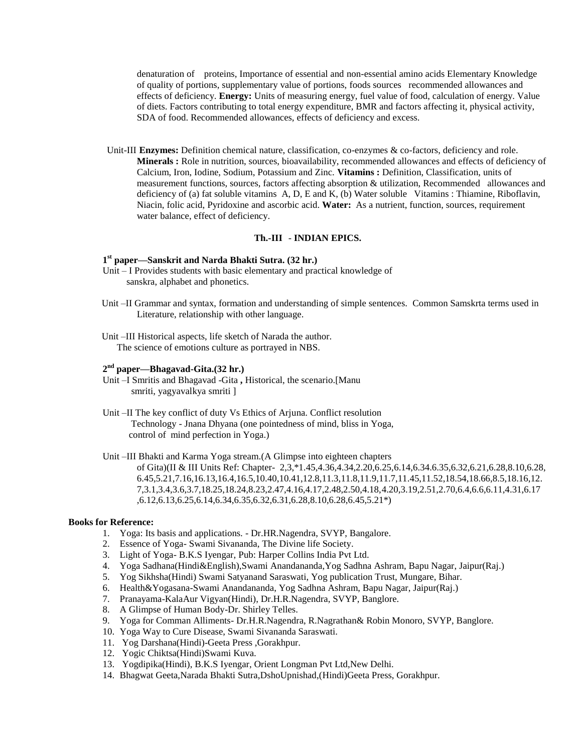denaturation of proteins, Importance of essential and non-essential amino acids Elementary Knowledge of quality of portions, supplementary value of portions, foods sourcesrecommended allowances and effects of deficiency. **Energy:** Units of measuring energy, fuel value of food, calculation of energy. Value of diets. Factors contributing to total energy expenditure, BMR and factors affecting it, physical activity, SDA of food. Recommended allowances, effects of deficiency and excess.

Unit-III **Enzymes:** Definition chemical nature, classification, co-enzymes & co-factors, deficiency and role. **Minerals :** Role in nutrition, sources, bioavailability, recommended allowances and effects of deficiency of Calcium, Iron, Iodine, Sodium, Potassium and Zinc. **Vitamins :** Definition, Classification, units of measurement functions, sources, factors affecting absorption & utilization, Recommended allowances and deficiency of (a) fat soluble vitamins A, D, E and K, (b) Water soluble Vitamins : Thiamine, Riboflavin, Niacin, folic acid, Pyridoxine and ascorbic acid. **Water:** As a nutrient, function, sources, requirement water balance, effect of deficiency.

#### **Th.-III** - **INDIAN EPICS.**

# **1 st paper—Sanskrit and Narda Bhakti Sutra. (32 hr.)**

- Unit I Provides students with basic elementary and practical knowledge of sanskra, alphabet and phonetics.
- Unit –II Grammar and syntax, formation and understanding of simple sentences. Common Samskrta terms used in Literature, relationship with other language.
- Unit –III Historical aspects, life sketch of Narada the author. The science of emotions culture as portrayed in NBS.

# **2 nd paper—Bhagavad-Gita.(32 hr.)**

- Unit –I Smritis and Bhagavad -Gita **,** Historical, the scenario.[Manu smriti, yagyavalkya smriti ]
- Unit –II The key conflict of duty Vs Ethics of Arjuna. Conflict resolution Technology - Jnana Dhyana (one pointedness of mind, bliss in Yoga, control of mind perfection in Yoga.)

Unit –III Bhakti and Karma Yoga stream.(A Glimpse into eighteen chapters

of Gita)(II & III Units Ref: Chapter- 2,3,\*1.45,4.36,4.34,2.20,6.25,6.14,6.34.6.35,6.32,6.21,6.28,8.10,6.28, 6.45,5.21,7.16,16.13,16.4,16.5,10.40,10.41,12.8,11.3,11.8,11.9,11.7,11.45,11.52,18.54,18.66,8.5,18.16,12. 7,3.1,3.4,3.6,3.7,18.25,18.24,8.23,2.47,4.16,4.17,2.48,2.50,4.18,4.20,3.19,2.51,2.70,6.4,6.6,6.11,4.31,6.17 ,6.12,6.13,6.25,6.14,6.34,6.35,6.32,6.31,6.28,8.10,6.28,6.45,5.21\*)

## **Books for Reference:**

- 1. Yoga: Its basis and applications. Dr.HR.Nagendra, SVYP, Bangalore.
- 2. Essence of Yoga- Swami Sivananda, The Divine life Society.
- 3. Light of Yoga- B.K.S Iyengar, Pub: Harper Collins India Pvt Ltd.
- 4. Yoga Sadhana(Hindi&English),Swami Anandananda,Yog Sadhna Ashram, Bapu Nagar, Jaipur(Raj.)
- 5. Yog Sikhsha(Hindi) Swami Satyanand Saraswati, Yog publication Trust, Mungare, Bihar.
- 6. Health&Yogasana-Swami Anandananda, Yog Sadhna Ashram, Bapu Nagar, Jaipur(Raj.)
- 7. Pranayama-KalaAur Vigyan(Hindi), Dr.H.R.Nagendra, SVYP, Banglore.
- 8. A Glimpse of Human Body-Dr. Shirley Telles.
- 9. Yoga for Comman Alliments- Dr.H.R.Nagendra, R.Nagrathan& Robin Monoro, SVYP, Banglore.
- 10. Yoga Way to Cure Disease, Swami Sivananda Saraswati.
- 11. Yog Darshana(Hindi)-Geeta Press ,Gorakhpur.
- 12. Yogic Chiktsa(Hindi)Swami Kuva.
- 13. Yogdipika(Hindi), B.K.S Iyengar, Orient Longman Pvt Ltd,New Delhi.
- 14. Bhagwat Geeta,Narada Bhakti Sutra,DshoUpnishad,(Hindi)Geeta Press, Gorakhpur.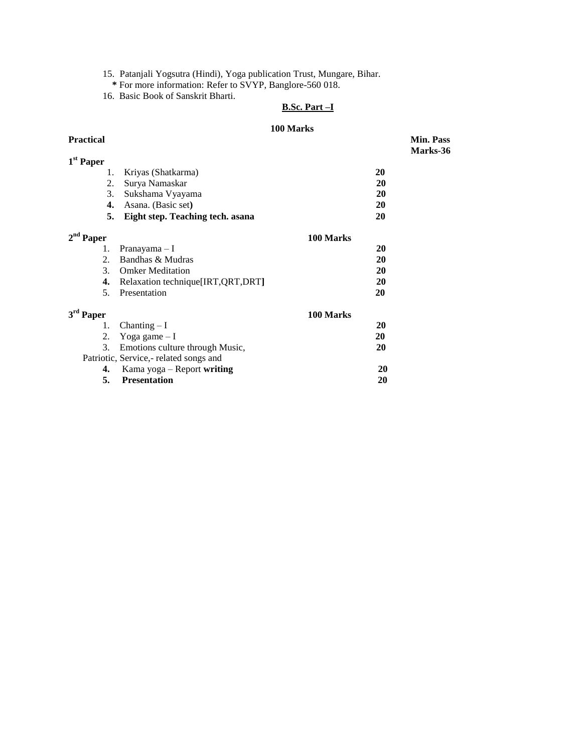- 15. Patanjali Yogsutra (Hindi), Yoga publication Trust, Mungare, Bihar.
- **\*** For more information: Refer to SVYP, Banglore-560 018.
- 16. Basic Book of Sanskrit Bharti.

# **B.Sc. Part –I**

# **100 Marks**<br>**Practical**

| <b>Practical</b>      |                                        |           | <b>Min. Pass</b><br>Marks-36 |
|-----------------------|----------------------------------------|-----------|------------------------------|
| 1 <sup>st</sup> Paper |                                        |           |                              |
| 1.                    | Kriyas (Shatkarma)                     |           | 20                           |
| 2.                    | Surya Namaskar                         |           | 20                           |
| 3.                    | Sukshama Vyayama                       |           | 20                           |
| 4.                    | Asana. (Basic set)                     |           | 20                           |
| 5.                    | Eight step. Teaching tech. asana       |           | 20                           |
| $2nd$ Paper           |                                        | 100 Marks |                              |
| 1.                    | Pranayama – I                          |           | 20                           |
| 2.                    | Bandhas & Mudras                       |           | 20                           |
| 3 <sub>1</sub>        | <b>Omker Meditation</b>                |           | 20                           |
| 4.                    | Relaxation technique [IRT, QRT, DRT]   |           | 20                           |
| 5.                    | Presentation                           |           | 20                           |
| 3rd Paper             |                                        | 100 Marks |                              |
| 1.                    | Chanting $-I$                          |           | 20                           |
| 2.                    | Yoga game $-I$                         |           | 20                           |
| 3.                    | Emotions culture through Music,        |           | 20                           |
|                       | Patriotic, Service,- related songs and |           |                              |
| 4.                    | Kama yoga - Report writing             |           | 20                           |
| 5.                    | <b>Presentation</b>                    |           | 20                           |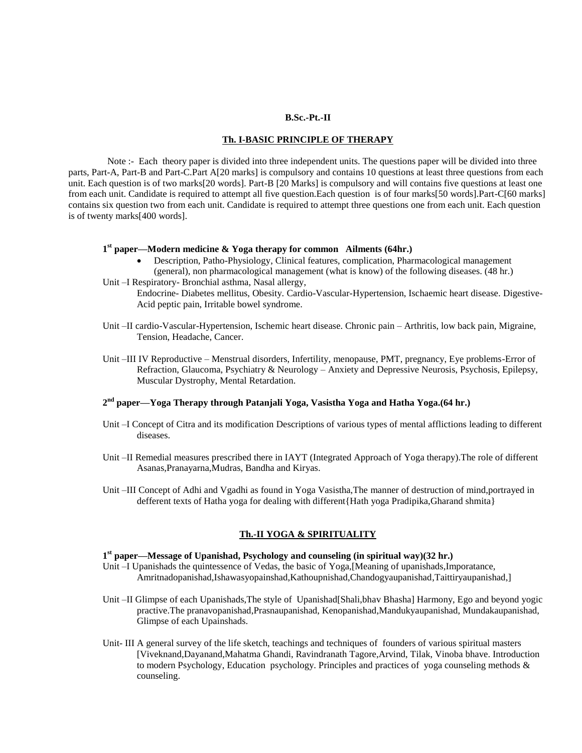#### **B.Sc.-Pt.-II**

#### **Th. I-BASIC PRINCIPLE OF THERAPY**

 Note :- Each theory paper is divided into three independent units. The questions paper will be divided into three parts, Part-A, Part-B and Part-C.Part A[20 marks] is compulsory and contains 10 questions at least three questions from each unit. Each question is of two marks[20 words]. Part-B [20 Marks] is compulsory and will contains five questions at least one from each unit. Candidate is required to attempt all five question.Each question is of four marks[50 words].Part-C[60 marks] contains six question two from each unit. Candidate is required to attempt three questions one from each unit. Each question is of twenty marks[400 words].

# **1 st paper—Modern medicine & Yoga therapy for common Ailments (64hr.)**

- Description, Patho-Physiology, Clinical features, complication, Pharmacological management (general), non pharmacological management (what is know) of the following diseases. (48 hr.)
- Unit –I Respiratory- Bronchial asthma, Nasal allergy, Endocrine- Diabetes mellitus, Obesity. Cardio-Vascular-Hypertension, Ischaemic heart disease. Digestive-Acid peptic pain, Irritable bowel syndrome.
- Unit –II cardio-Vascular-Hypertension, Ischemic heart disease. Chronic pain Arthritis, low back pain, Migraine, Tension, Headache, Cancer.
- Unit –III IV Reproductive Menstrual disorders, Infertility, menopause, PMT, pregnancy, Eye problems-Error of Refraction, Glaucoma, Psychiatry & Neurology – Anxiety and Depressive Neurosis, Psychosis, Epilepsy, Muscular Dystrophy, Mental Retardation.

# **2 nd paper—Yoga Therapy through Patanjali Yoga, Vasistha Yoga and Hatha Yoga.(64 hr.)**

- Unit –I Concept of Citra and its modification Descriptions of various types of mental afflictions leading to different diseases.
- Unit –II Remedial measures prescribed there in IAYT (Integrated Approach of Yoga therapy).The role of different Asanas,Pranayarna,Mudras, Bandha and Kiryas.
- Unit –III Concept of Adhi and Vgadhi as found in Yoga Vasistha,The manner of destruction of mind,portrayed in defferent texts of Hatha yoga for dealing with different{Hath yoga Pradipika,Gharand shmita}

## **Th.-II YOGA & SPIRITUALITY**

# **1 st paper—Message of Upanishad, Psychology and counseling (in spiritual way)(32 hr.)**

- Unit –I Upanishads the quintessence of Vedas, the basic of Yoga, [Meaning of upanishads, Imporatance, Amritnadopanishad,Ishawasyopainshad,Kathoupnishad,Chandogyaupanishad,Taittiryaupanishad,]
- Unit –II Glimpse of each Upanishads,The style of Upanishad[Shali,bhav Bhasha] Harmony, Ego and beyond yogic practive.The pranavopanishad,Prasnaupanishad, Kenopanishad,Mandukyaupanishad, Mundakaupanishad, Glimpse of each Upainshads.
- Unit- III A general survey of the life sketch, teachings and techniques of founders of various spiritual masters [Viveknand,Dayanand,Mahatma Ghandi, Ravindranath Tagore,Arvind, Tilak, Vinoba bhave. Introduction to modern Psychology, Education psychology. Principles and practices of yoga counseling methods & counseling.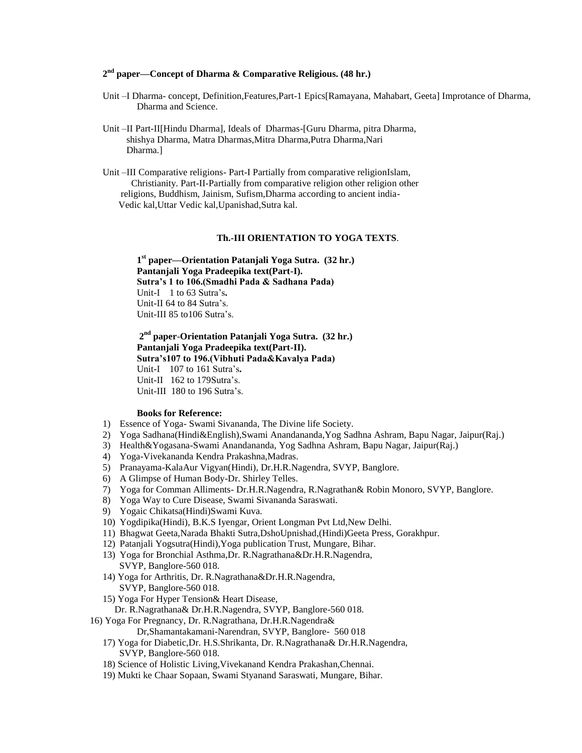# **2 nd paper—Concept of Dharma & Comparative Religious. (48 hr.)**

- Unit –I Dharma- concept, Definition,Features,Part-1 Epics[Ramayana, Mahabart, Geeta] Improtance of Dharma, Dharma and Science.
- Unit –II Part-II[Hindu Dharma], Ideals of Dharmas-[Guru Dharma, pitra Dharma, shishya Dharma, Matra Dharmas,Mitra Dharma,Putra Dharma,Nari Dharma.]
- Unit –III Comparative religions- Part-I Partially from comparative religionIslam, Christianity. Part-II-Partially from comparative religion other religion other religions, Buddhism, Jainism, Sufism,Dharma according to ancient india- Vedic kal,Uttar Vedic kal,Upanishad,Sutra kal.

#### **Th.-III ORIENTATION TO YOGA TEXTS**.

**1 st paper—Orientation Patanjali Yoga Sutra. (32 hr.) Pantanjali Yoga Pradeepika text(Part-I). Sutra's 1 to 106.(Smadhi Pada & Sadhana Pada)** Unit-I 1 to 63 Sutra's**.** Unit-II 64 to 84 Sutra's. Unit-III 85 to106 Sutra's.

**2 nd paper**-**Orientation Patanjali Yoga Sutra. (32 hr.) Pantanjali Yoga Pradeepika text(Part-II). Sutra's107 to 196.(Vibhuti Pada&Kavalya Pada)**  Unit-I 107 to 161 Sutra's**.** Unit-II 162 to 179 Sutra's. Unit-III 180 to 196 Sutra's.

#### **Books for Reference:**

- 1) Essence of Yoga- Swami Sivananda, The Divine life Society.
- 2) Yoga Sadhana(Hindi&English),Swami Anandananda,Yog Sadhna Ashram, Bapu Nagar, Jaipur(Raj.)
- 3) Health&Yogasana-Swami Anandananda, Yog Sadhna Ashram, Bapu Nagar, Jaipur(Raj.)
- 4) Yoga-Vivekananda Kendra Prakashna,Madras.
- 5) Pranayama-KalaAur Vigyan(Hindi), Dr.H.R.Nagendra, SVYP, Banglore.
- 6) A Glimpse of Human Body-Dr. Shirley Telles.
- 7) Yoga for Comman Alliments- Dr.H.R.Nagendra, R.Nagrathan& Robin Monoro, SVYP, Banglore.
- 8) Yoga Way to Cure Disease, Swami Sivananda Saraswati.
- 9) Yogaic Chikatsa(Hindi)Swami Kuva.
- 10) Yogdipika(Hindi), B.K.S Iyengar, Orient Longman Pvt Ltd,New Delhi.
- 11) Bhagwat Geeta,Narada Bhakti Sutra,DshoUpnishad,(Hindi)Geeta Press, Gorakhpur.
- 12) Patanjali Yogsutra(Hindi),Yoga publication Trust, Mungare, Bihar.
- 13) Yoga for Bronchial Asthma,Dr. R.Nagrathana&Dr.H.R.Nagendra, SVYP, Banglore-560 018.
- 14) Yoga for Arthritis, Dr. R.Nagrathana&Dr.H.R.Nagendra, SVYP, Banglore-560 018.
- 15) Yoga For Hyper Tension& Heart Disease, Dr. R.Nagrathana& Dr.H.R.Nagendra, SVYP, Banglore-560 018.
- 16) Yoga For Pregnancy, Dr. R.Nagrathana, Dr.H.R.Nagendra&
	- Dr,Shamantakamani-Narendran, SVYP, Banglore- 560 018
	- 17) Yoga for Diabetic,Dr. H.S.Shrikanta, Dr. R.Nagrathana& Dr.H.R.Nagendra, SVYP, Banglore-560 018.
	- 18) Science of Holistic Living,Vivekanand Kendra Prakashan,Chennai.
	- 19) Mukti ke Chaar Sopaan, Swami Styanand Saraswati, Mungare, Bihar.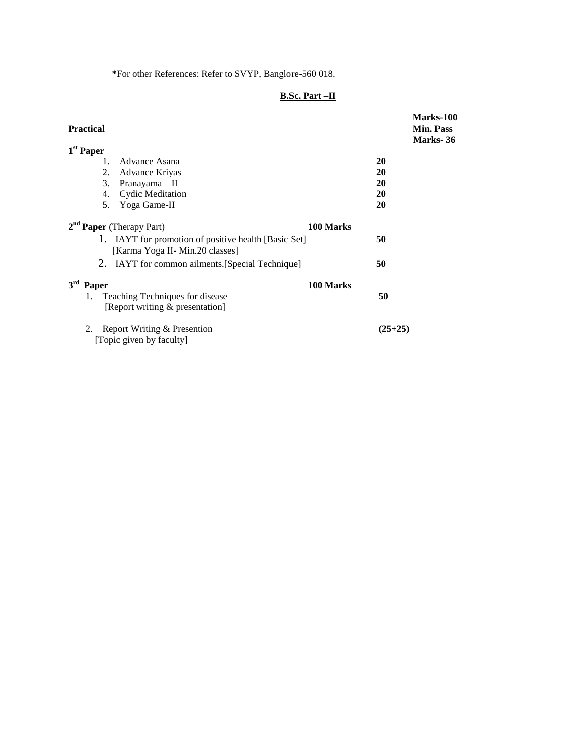**\***For other References: Refer to SVYP, Banglore-560 018.

# **B.Sc. Part –II**

| <b>Practical</b>                                                                        |           | Marks-100<br><b>Min. Pass</b><br>Marks-36 |  |
|-----------------------------------------------------------------------------------------|-----------|-------------------------------------------|--|
| $1st$ Paper                                                                             |           |                                           |  |
| Advance Asana<br>$\mathbf{1}$                                                           |           | 20                                        |  |
| 2.<br>Advance Kriyas                                                                    |           | 20                                        |  |
| 3.<br>Pranayama $-$ II                                                                  |           | 20                                        |  |
| <b>Cydic Meditation</b><br>4.                                                           |           | 20                                        |  |
| Yoga Game-II<br>5.                                                                      |           | 20                                        |  |
| $2nd$ Paper (Therapy Part)                                                              | 100 Marks |                                           |  |
| 1. IAYT for promotion of positive health [Basic Set]<br>[Karma Yoga II- Min.20 classes] |           | 50                                        |  |
| IAYT for common ailments. [Special Technique]<br>2.                                     |           | 50                                        |  |
| 3 <sup>rd</sup><br>Paper                                                                | 100 Marks |                                           |  |
| Teaching Techniques for disease<br>1.<br>[Report writing & presentation]                |           | 50                                        |  |
| 2.<br>Report Writing & Presention<br>[Topic given by faculty]                           |           | $(25+25)$                                 |  |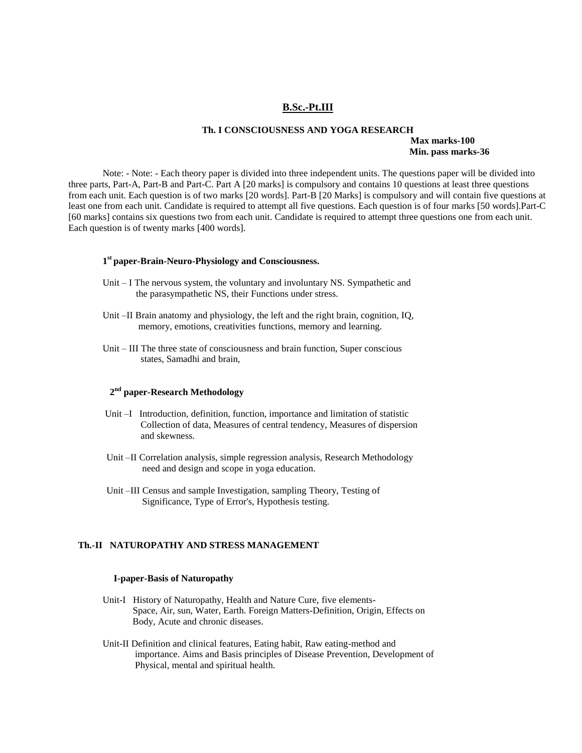#### **B.Sc.-Pt.III**

#### **Th. I CONSCIOUSNESS AND YOGA RESEARCH Max marks-100 Min. pass marks-36**

Note: - Note: - Each theory paper is divided into three independent units. The questions paper will be divided into three parts, Part-A, Part-B and Part-C. Part A [20 marks] is compulsory and contains 10 questions at least three questions from each unit. Each question is of two marks [20 words]. Part-B [20 Marks] is compulsory and will contain five questions at least one from each unit. Candidate is required to attempt all five questions. Each question is of four marks [50 words].Part-C [60 marks] contains six questions two from each unit. Candidate is required to attempt three questions one from each unit. Each question is of twenty marks [400 words].

# **1 st paper-Brain-Neuro-Physiology and Consciousness.**

- Unit I The nervous system, the voluntary and involuntary NS. Sympathetic and the parasympathetic NS, their Functions under stress.
- Unit –II Brain anatomy and physiology, the left and the right brain, cognition, IQ, memory, emotions, creativities functions, memory and learning.
- Unit III The three state of consciousness and brain function, Super conscious states, Samadhi and brain,

# **2 nd paper-Research Methodology**

- Unit –I Introduction, definition, function, importance and limitation of statistic Collection of data, Measures of central tendency, Measures of dispersion and skewness.
- Unit –II Correlation analysis, simple regression analysis, Research Methodology need and design and scope in yoga education.
- Unit –III Census and sample Investigation, sampling Theory, Testing of Significance, Type of Error's, Hypothesis testing.

## **Th.-II NATUROPATHY AND STRESS MANAGEMENT**

#### **I-paper-Basis of Naturopathy**

- Unit-I History of Naturopathy, Health and Nature Cure, five elements- Space, Air, sun, Water, Earth. Foreign Matters-Definition, Origin, Effects on Body, Acute and chronic diseases.
- Unit-II Definition and clinical features, Eating habit, Raw eating-method and importance. Aims and Basis principles of Disease Prevention, Development of Physical, mental and spiritual health.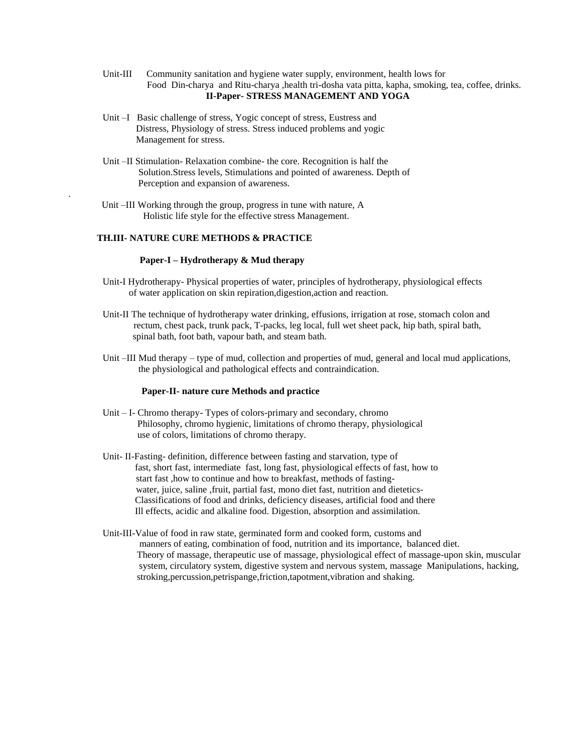- Unit-III Community sanitation and hygiene water supply, environment, health lows for Food Din-charya and Ritu-charya ,health tri-dosha vata pitta, kapha, smoking, tea, coffee, drinks. **II-Paper- STRESS MANAGEMENT AND YOGA**
- Unit –I Basic challenge of stress, Yogic concept of stress, Eustress and Distress, Physiology of stress. Stress induced problems and yogic Management for stress.
- Unit –II Stimulation- Relaxation combine- the core. Recognition is half the Solution.Stress levels, Stimulations and pointed of awareness. Depth of Perception and expansion of awareness.
- Unit –III Working through the group, progress in tune with nature, A Holistic life style for the effective stress Management.

# **TH.III- NATURE CURE METHODS & PRACTICE**

.

#### **Paper-I – Hydrotherapy & Mud therapy**

- Unit-I Hydrotherapy- Physical properties of water, principles of hydrotherapy, physiological effects of water application on skin repiration,digestion,action and reaction.
- Unit-II The technique of hydrotherapy water drinking, effusions, irrigation at rose, stomach colon and rectum, chest pack, trunk pack, T-packs, leg local, full wet sheet pack, hip bath, spiral bath, spinal bath, foot bath, vapour bath, and steam bath.
- Unit –III Mud therapy type of mud, collection and properties of mud, general and local mud applications, the physiological and pathological effects and contraindication.

#### **Paper-II- nature cure Methods and practice**

- Unit I- Chromo therapy- Types of colors-primary and secondary, chromo Philosophy, chromo hygienic, limitations of chromo therapy, physiological use of colors, limitations of chromo therapy.
- Unit- II-Fasting- definition, difference between fasting and starvation, type of fast, short fast, intermediate fast, long fast, physiological effects of fast, how to start fast ,how to continue and how to breakfast, methods of fasting water, juice, saline ,fruit, partial fast, mono diet fast, nutrition and dietetics- Classifications of food and drinks, deficiency diseases, artificial food and there Ill effects, acidic and alkaline food. Digestion, absorption and assimilation.
- Unit-III-Value of food in raw state, germinated form and cooked form, customs and manners of eating, combination of food, nutrition and its importance, balanced diet. Theory of massage, therapeutic use of massage, physiological effect of massage-upon skin, muscular system, circulatory system, digestive system and nervous system, massage Manipulations, hacking, stroking,percussion,petrispange,friction,tapotment,vibration and shaking.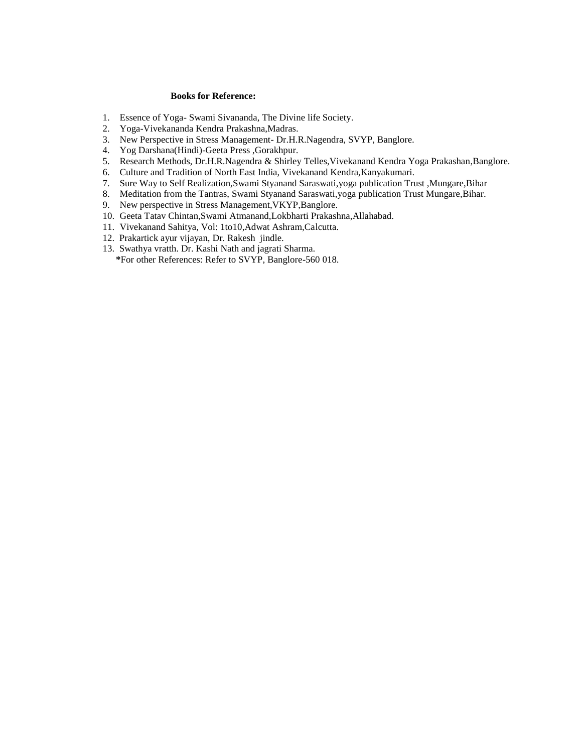#### **Books for Reference:**

- 1. Essence of Yoga- Swami Sivananda, The Divine life Society.
- 2. Yoga-Vivekananda Kendra Prakashna,Madras.
- 3. New Perspective in Stress Management- Dr.H.R.Nagendra, SVYP, Banglore.
- 4. Yog Darshana(Hindi)-Geeta Press ,Gorakhpur.
- 5. Research Methods, Dr.H.R.Nagendra & Shirley Telles,Vivekanand Kendra Yoga Prakashan,Banglore.
- 6. Culture and Tradition of North East India, Vivekanand Kendra,Kanyakumari.
- 7. Sure Way to Self Realization,Swami Styanand Saraswati,yoga publication Trust ,Mungare,Bihar
- 8. Meditation from the Tantras, Swami Styanand Saraswati,yoga publication Trust Mungare,Bihar.
- 9. New perspective in Stress Management,VKYP,Banglore.
- 10. Geeta Tatav Chintan,Swami Atmanand,Lokbharti Prakashna,Allahabad.
- 11. Vivekanand Sahitya, Vol: 1to10,Adwat Ashram,Calcutta.
- 12. Prakartick ayur vijayan, Dr. Rakesh jindle.
- 13. Swathya vratth. Dr. Kashi Nath and jagrati Sharma.
	- **\***For other References: Refer to SVYP, Banglore-560 018.